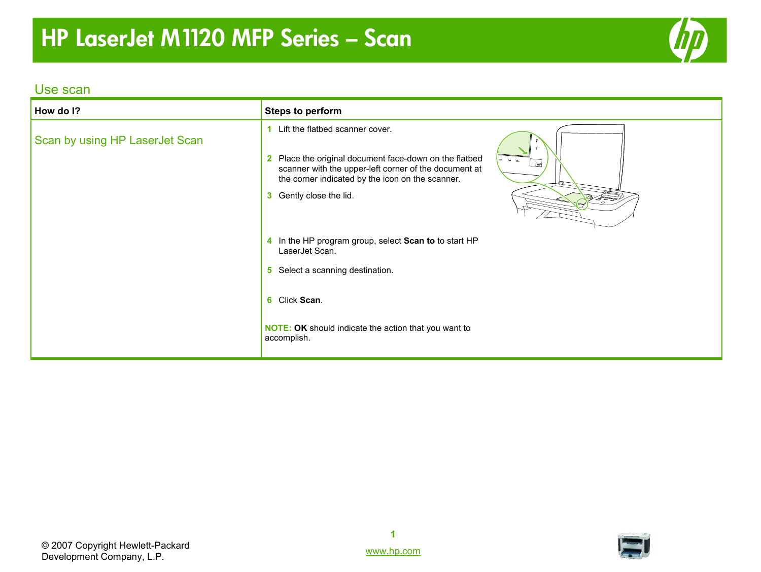# **HP LaserJet M1120 MFP Series – Scan**



#### Use scan

| How do I?                      | <b>Steps to perform</b>                                                                                                                                                                                                                                        |
|--------------------------------|----------------------------------------------------------------------------------------------------------------------------------------------------------------------------------------------------------------------------------------------------------------|
| Scan by using HP LaserJet Scan | Lift the flatbed scanner cover.<br>2 Place the original document face-down on the flatbed<br>$\sim$ $\sim$ $\sim$<br>⋻<br>scanner with the upper-left corner of the document at<br>the corner indicated by the icon on the scanner.<br>3 Gently close the lid. |
|                                | 4 In the HP program group, select Scan to to start HP<br>LaserJet Scan.<br>5 Select a scanning destination.                                                                                                                                                    |
|                                | 6 Click Scan.<br><b>NOTE: OK</b> should indicate the action that you want to<br>accomplish.                                                                                                                                                                    |



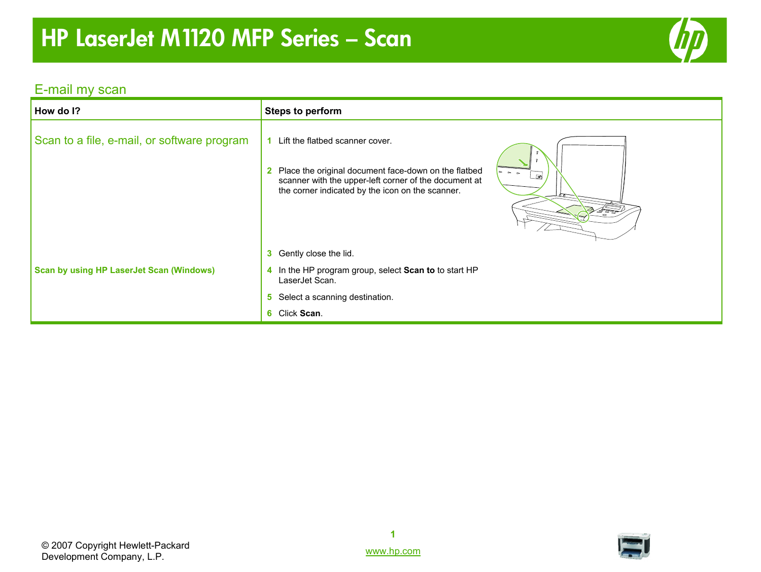# **HP LaserJet M1120 MFP Series – Scan**



### E-mail my scan

| How do I?                                       | Steps to perform                                                                                                                                                                                                             |
|-------------------------------------------------|------------------------------------------------------------------------------------------------------------------------------------------------------------------------------------------------------------------------------|
| Scan to a file, e-mail, or software program     | Lift the flatbed scanner cover.<br>2 Place the original document face-down on the flatbed<br>$\sim$ $\sim$<br>国<br>scanner with the upper-left corner of the document at<br>the corner indicated by the icon on the scanner. |
|                                                 | 3 Gently close the lid.                                                                                                                                                                                                      |
| <b>Scan by using HP LaserJet Scan (Windows)</b> | 4 In the HP program group, select Scan to to start HP<br>LaserJet Scan.                                                                                                                                                      |
|                                                 | 5 Select a scanning destination.                                                                                                                                                                                             |
|                                                 | 6 Click Scan.                                                                                                                                                                                                                |

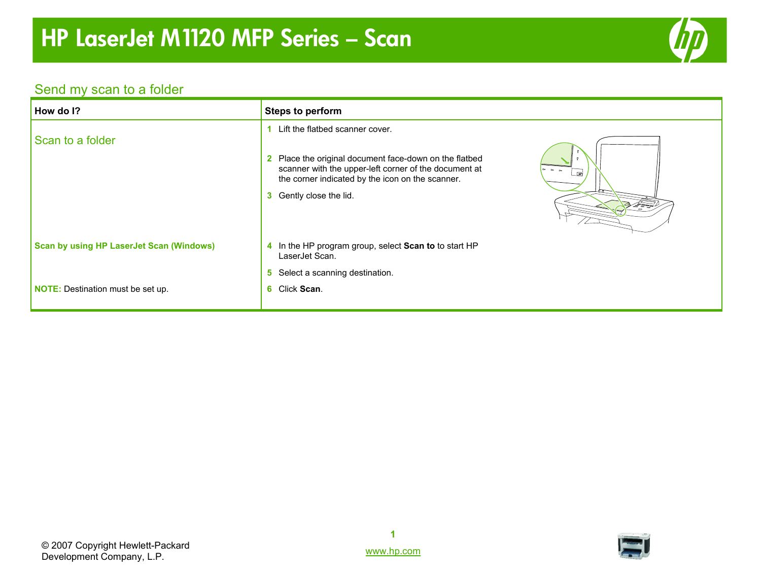

### Send my scan to a folder

| How do I?                                       | <b>Steps to perform</b>                                                                                                                                                                                                                       |
|-------------------------------------------------|-----------------------------------------------------------------------------------------------------------------------------------------------------------------------------------------------------------------------------------------------|
| Scan to a folder                                | Lift the flatbed scanner cover.<br>2 Place the original document face-down on the flatbed<br>scanner with the upper-left corner of the document at<br><u>a</u><br>the corner indicated by the icon on the scanner.<br>3 Gently close the lid. |
| <b>Scan by using HP LaserJet Scan (Windows)</b> | 4 In the HP program group, select Scan to to start HP<br>LaserJet Scan.                                                                                                                                                                       |
| <b>NOTE:</b> Destination must be set up.        | Select a scanning destination.<br>5.<br>6 Click Scan.                                                                                                                                                                                         |